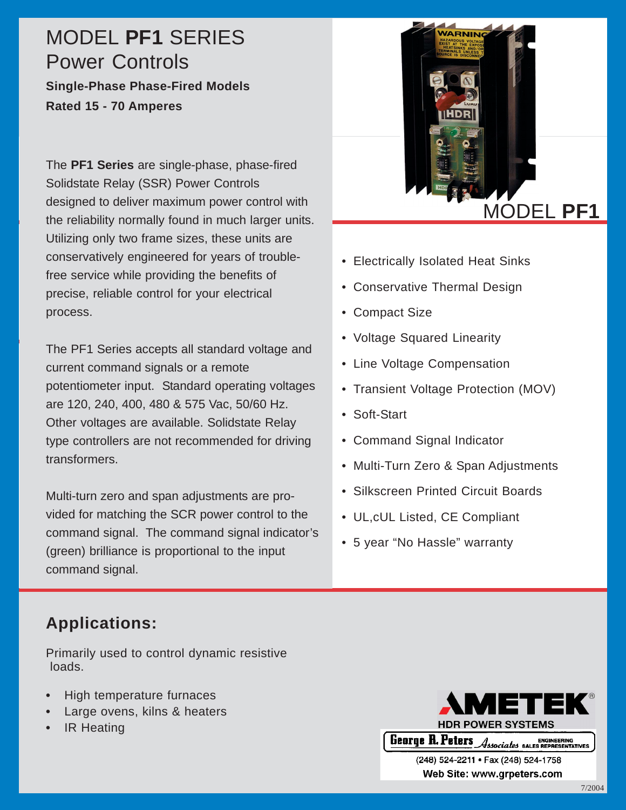# MODEL **PF1** SERIES Power Controls **Single-Phase Phase-Fired Models**

**Rated 15 - 70 Amperes**

The **PF1 Series** are single-phase, phase-fired Solidstate Relay (SSR) Power Controls designed to deliver maximum power control with the reliability normally found in much larger units. Utilizing only two frame sizes, these units are conservatively engineered for years of troublefree service while providing the benefits of precise, reliable control for your electrical process.

The PF1 Series accepts all standard voltage and current command signals or a remote potentiometer input. Standard operating voltages are 120, 240, 400, 480 & 575 Vac, 50/60 Hz. Other voltages are available. Solidstate Relay type controllers are not recommended for driving transformers.

Multi-turn zero and span adjustments are provided for matching the SCR power control to the command signal. The command signal indicator's (green) brilliance is proportional to the input command signal.



- Electrically Isolated Heat Sinks
- Conservative Thermal Design
- Compact Size
- Voltage Squared Linearity
- Line Voltage Compensation
- Transient Voltage Protection (MOV)
- Soft-Start
- Command Signal Indicator
- Multi-Turn Zero & Span Adjustments
- Silkscreen Printed Circuit Boards
- UL,cUL Listed, CE Compliant
- 5 year "No Hassle" warranty

## **Applications:**

Primarily used to control dynamic resistive loads.

- **•** High temperature furnaces
- **•** Large ovens, kilns & heaters
- **•** IR Heating



(248) 524-2211 · Fax (248) 524-1758 Web Site: www.grpeters.com